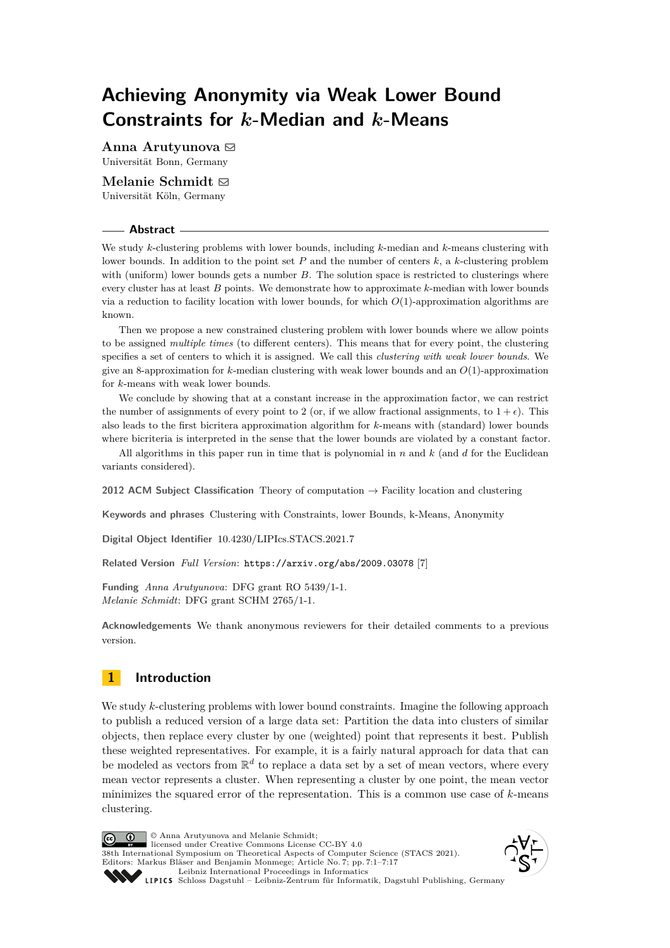# **Achieving Anonymity via Weak Lower Bound Constraints for** *k***-Median and** *k***-Means**

**Anna Arutyunova** [!](mailto:arutyunova@informatik.uni-bonn.de) Universität Bonn, Germany

**Melanie Schmidt** [!](mailto:mschmidt@cs.uni-koeln.de) Universität Köln, Germany

#### **Abstract**

We study *k*-clustering problems with lower bounds, including *k*-median and *k*-means clustering with lower bounds. In addition to the point set *P* and the number of centers *k*, a *k*-clustering problem with (uniform) lower bounds gets a number *B*. The solution space is restricted to clusterings where every cluster has at least *B* points. We demonstrate how to approximate *k*-median with lower bounds via a reduction to facility location with lower bounds, for which *O*(1)-approximation algorithms are known.

Then we propose a new constrained clustering problem with lower bounds where we allow points to be assigned *multiple times* (to different centers). This means that for every point, the clustering specifies a set of centers to which it is assigned. We call this *clustering with weak lower bounds*. We give an 8-approximation for *k*-median clustering with weak lower bounds and an *O*(1)-approximation for *k*-means with weak lower bounds.

We conclude by showing that at a constant increase in the approximation factor, we can restrict the number of assignments of every point to 2 (or, if we allow fractional assignments, to  $1 + \epsilon$ ). This also leads to the first bicritera approximation algorithm for *k*-means with (standard) lower bounds where bicriteria is interpreted in the sense that the lower bounds are violated by a constant factor.

All algorithms in this paper run in time that is polynomial in *n* and *k* (and *d* for the Euclidean variants considered).

**2012 ACM Subject Classification** Theory of computation → Facility location and clustering

**Keywords and phrases** Clustering with Constraints, lower Bounds, k-Means, Anonymity

**Digital Object Identifier** [10.4230/LIPIcs.STACS.2021.7](https://doi.org/10.4230/LIPIcs.STACS.2021.7)

**Related Version** *Full Version*: <https://arxiv.org/abs/2009.03078> [\[7\]](#page-15-0)

**Funding** *Anna Arutyunova*: DFG grant RO 5439/1-1. *Melanie Schmidt*: DFG grant SCHM 2765/1-1.

**Acknowledgements** We thank anonymous reviewers for their detailed comments to a previous version.

# **1 Introduction**

We study *k*-clustering problems with lower bound constraints. Imagine the following approach to publish a reduced version of a large data set: Partition the data into clusters of similar objects, then replace every cluster by one (weighted) point that represents it best. Publish these weighted representatives. For example, it is a fairly natural approach for data that can be modeled as vectors from  $\mathbb{R}^d$  to replace a data set by a set of mean vectors, where every mean vector represents a cluster. When representing a cluster by one point, the mean vector minimizes the squared error of the representation. This is a common use case of *k*-means clustering.

© Anna Arutyunova and Melanie Schmidt;  $\circ$   $\circ$ licensed under Creative Commons License CC-BY 4.0 38th International Symposium on Theoretical Aspects of Computer Science (STACS 2021). Editors: Markus Bläser and Benjamin Monmege; Article No. 7; pp. 7:1–7:17 [Leibniz International Proceedings in Informatics](https://www.dagstuhl.de/lipics/) [Schloss Dagstuhl – Leibniz-Zentrum für Informatik, Dagstuhl Publishing, Germany](https://www.dagstuhl.de)

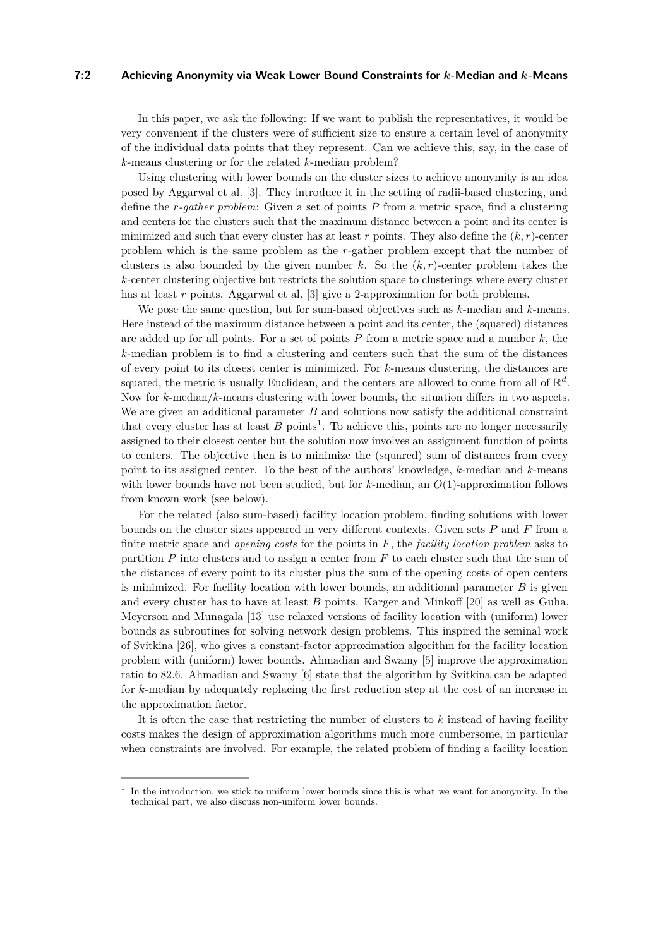## **7:2 Achieving Anonymity via Weak Lower Bound Constraints for** *k***-Median and** *k***-Means**

In this paper, we ask the following: If we want to publish the representatives, it would be very convenient if the clusters were of sufficient size to ensure a certain level of anonymity of the individual data points that they represent. Can we achieve this, say, in the case of *k*-means clustering or for the related *k*-median problem?

Using clustering with lower bounds on the cluster sizes to achieve anonymity is an idea posed by Aggarwal et al. [\[3\]](#page-15-1). They introduce it in the setting of radii-based clustering, and define the *r-gather problem*: Given a set of points *P* from a metric space, find a clustering and centers for the clusters such that the maximum distance between a point and its center is minimized and such that every cluster has at least  $r$  points. They also define the  $(k, r)$ -center problem which is the same problem as the *r*-gather problem except that the number of clusters is also bounded by the given number  $k$ . So the  $(k, r)$ -center problem takes the *k*-center clustering objective but restricts the solution space to clusterings where every cluster has at least *r* points. Aggarwal et al. [\[3\]](#page-15-1) give a 2-approximation for both problems.

We pose the same question, but for sum-based objectives such as *k*-median and *k*-means. Here instead of the maximum distance between a point and its center, the (squared) distances are added up for all points. For a set of points *P* from a metric space and a number *k*, the *k*-median problem is to find a clustering and centers such that the sum of the distances of every point to its closest center is minimized. For *k*-means clustering, the distances are squared, the metric is usually Euclidean, and the centers are allowed to come from all of  $\mathbb{R}^d$ . Now for *k*-median/*k*-means clustering with lower bounds, the situation differs in two aspects. We are given an additional parameter *B* and solutions now satisfy the additional constraint that every cluster has at least  $B$  points<sup>[1](#page-1-0)</sup>. To achieve this, points are no longer necessarily assigned to their closest center but the solution now involves an assignment function of points to centers. The objective then is to minimize the (squared) sum of distances from every point to its assigned center. To the best of the authors' knowledge, *k*-median and *k*-means with lower bounds have not been studied, but for *k*-median, an *O*(1)-approximation follows from known work (see below).

For the related (also sum-based) facility location problem, finding solutions with lower bounds on the cluster sizes appeared in very different contexts. Given sets *P* and *F* from a finite metric space and *opening costs* for the points in *F*, the *facility location problem* asks to partition *P* into clusters and to assign a center from *F* to each cluster such that the sum of the distances of every point to its cluster plus the sum of the opening costs of open centers is minimized. For facility location with lower bounds, an additional parameter *B* is given and every cluster has to have at least *B* points. Karger and Minkoff [\[20\]](#page-16-0) as well as Guha, Meyerson and Munagala [\[13\]](#page-16-1) use relaxed versions of facility location with (uniform) lower bounds as subroutines for solving network design problems. This inspired the seminal work of Svitkina [\[26\]](#page-16-2), who gives a constant-factor approximation algorithm for the facility location problem with (uniform) lower bounds. Ahmadian and Swamy [\[5\]](#page-15-2) improve the approximation ratio to 82.6. Ahmadian and Swamy [\[6\]](#page-15-3) state that the algorithm by Svitkina can be adapted for *k*-median by adequately replacing the first reduction step at the cost of an increase in the approximation factor.

It is often the case that restricting the number of clusters to *k* instead of having facility costs makes the design of approximation algorithms much more cumbersome, in particular when constraints are involved. For example, the related problem of finding a facility location

<span id="page-1-0"></span><sup>1</sup> In the introduction, we stick to uniform lower bounds since this is what we want for anonymity. In the technical part, we also discuss non-uniform lower bounds.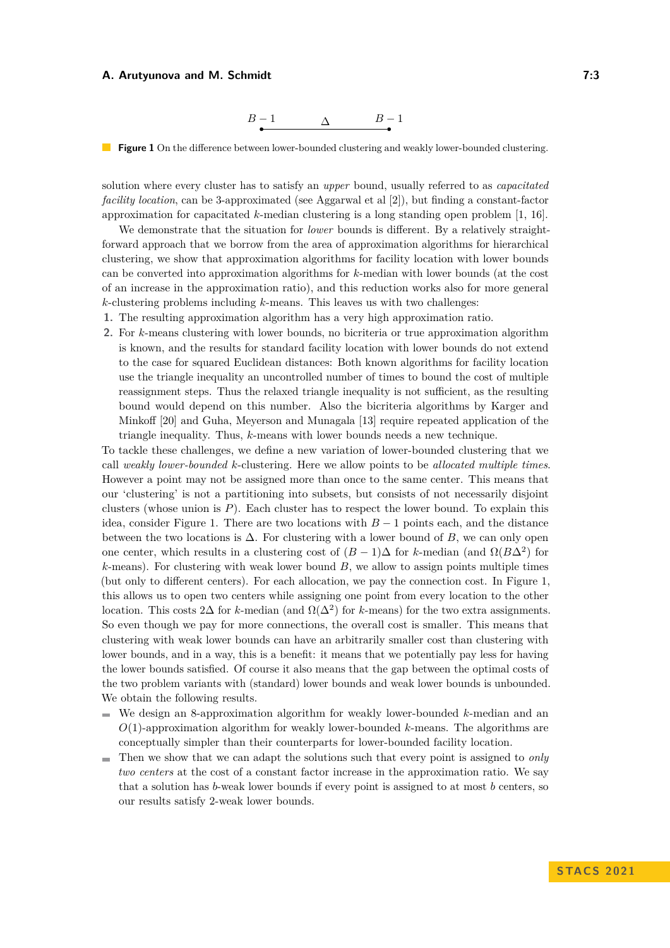

<span id="page-2-0"></span>**Figure 1** On the difference between lower-bounded clustering and weakly lower-bounded clustering.

solution where every cluster has to satisfy an *upper* bound, usually referred to as *capacitated facility location*, can be 3-approximated (see Aggarwal et al [\[2\]](#page-15-4)), but finding a constant-factor approximation for capacitated *k*-median clustering is a long standing open problem [\[1,](#page-15-5) [16\]](#page-16-3).

We demonstrate that the situation for *lower* bounds is different. By a relatively straightforward approach that we borrow from the area of approximation algorithms for hierarchical clustering, we show that approximation algorithms for facility location with lower bounds can be converted into approximation algorithms for *k*-median with lower bounds (at the cost of an increase in the approximation ratio), and this reduction works also for more general *k*-clustering problems including *k*-means. This leaves us with two challenges:

- **1.** The resulting approximation algorithm has a very high approximation ratio.
- **2.** For *k*-means clustering with lower bounds, no bicriteria or true approximation algorithm is known, and the results for standard facility location with lower bounds do not extend to the case for squared Euclidean distances: Both known algorithms for facility location use the triangle inequality an uncontrolled number of times to bound the cost of multiple reassignment steps. Thus the relaxed triangle inequality is not sufficient, as the resulting bound would depend on this number. Also the bicriteria algorithms by Karger and Minkoff [\[20\]](#page-16-0) and Guha, Meyerson and Munagala [\[13\]](#page-16-1) require repeated application of the triangle inequality. Thus, *k*-means with lower bounds needs a new technique.

To tackle these challenges, we define a new variation of lower-bounded clustering that we call *weakly lower-bounded k*-clustering. Here we allow points to be *allocated multiple times*. However a point may not be assigned more than once to the same center. This means that our 'clustering' is not a partitioning into subsets, but consists of not necessarily disjoint clusters (whose union is *P*). Each cluster has to respect the lower bound. To explain this idea, consider Figure [1.](#page-2-0) There are two locations with  $B-1$  points each, and the distance between the two locations is  $\Delta$ . For clustering with a lower bound of *B*, we can only open one center, which results in a clustering cost of  $(B-1)\Delta$  for *k*-median (and  $\Omega(B\Delta^2)$ ) for *k*-means). For clustering with weak lower bound *B*, we allow to assign points multiple times (but only to different centers). For each allocation, we pay the connection cost. In Figure [1,](#page-2-0) this allows us to open two centers while assigning one point from every location to the other location. This costs  $2\Delta$  for *k*-median (and  $\Omega(\Delta^2)$  for *k*-means) for the two extra assignments. So even though we pay for more connections, the overall cost is smaller. This means that clustering with weak lower bounds can have an arbitrarily smaller cost than clustering with lower bounds, and in a way, this is a benefit: it means that we potentially pay less for having the lower bounds satisfied. Of course it also means that the gap between the optimal costs of the two problem variants with (standard) lower bounds and weak lower bounds is unbounded. We obtain the following results.

- We design an 8-approximation algorithm for weakly lower-bounded *k*-median and an *O*(1)-approximation algorithm for weakly lower-bounded *k*-means. The algorithms are conceptually simpler than their counterparts for lower-bounded facility location.
- Then we show that we can adapt the solutions such that every point is assigned to *only*  $\mathbf{r}$ *two centers* at the cost of a constant factor increase in the approximation ratio. We say that a solution has *b*-weak lower bounds if every point is assigned to at most *b* centers, so our results satisfy 2-weak lower bounds.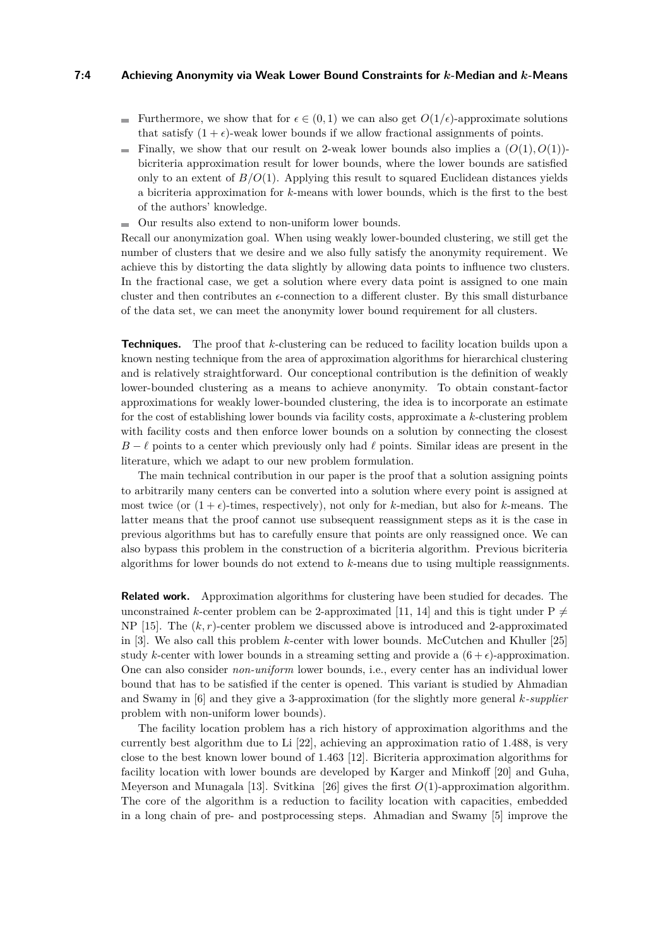#### **7:4 Achieving Anonymity via Weak Lower Bound Constraints for** *k***-Median and** *k***-Means**

- Furthermore, we show that for  $\epsilon \in (0,1)$  we can also get  $O(1/\epsilon)$ -approximate solutions that satisfy  $(1 + \epsilon)$ -weak lower bounds if we allow fractional assignments of points.
- Finally, we show that our result on 2-weak lower bounds also implies a  $(O(1), O(1))$ bicriteria approximation result for lower bounds, where the lower bounds are satisfied only to an extent of  $B/O(1)$ . Applying this result to squared Euclidean distances yields a bicriteria approximation for *k*-means with lower bounds, which is the first to the best of the authors' knowledge.
- Our results also extend to non-uniform lower bounds.

Recall our anonymization goal. When using weakly lower-bounded clustering, we still get the number of clusters that we desire and we also fully satisfy the anonymity requirement. We achieve this by distorting the data slightly by allowing data points to influence two clusters. In the fractional case, we get a solution where every data point is assigned to one main cluster and then contributes an *ϵ*-connection to a different cluster. By this small disturbance of the data set, we can meet the anonymity lower bound requirement for all clusters.

**Techniques.** The proof that *k*-clustering can be reduced to facility location builds upon a known nesting technique from the area of approximation algorithms for hierarchical clustering and is relatively straightforward. Our conceptional contribution is the definition of weakly lower-bounded clustering as a means to achieve anonymity. To obtain constant-factor approximations for weakly lower-bounded clustering, the idea is to incorporate an estimate for the cost of establishing lower bounds via facility costs, approximate a *k*-clustering problem with facility costs and then enforce lower bounds on a solution by connecting the closest *B* −  $\ell$  points to a center which previously only had  $\ell$  points. Similar ideas are present in the literature, which we adapt to our new problem formulation.

The main technical contribution in our paper is the proof that a solution assigning points to arbitrarily many centers can be converted into a solution where every point is assigned at most twice (or  $(1 + \epsilon)$ -times, respectively), not only for *k*-median, but also for *k*-means. The latter means that the proof cannot use subsequent reassignment steps as it is the case in previous algorithms but has to carefully ensure that points are only reassigned once. We can also bypass this problem in the construction of a bicriteria algorithm. Previous bicriteria algorithms for lower bounds do not extend to *k*-means due to using multiple reassignments.

**Related work.** Approximation algorithms for clustering have been studied for decades. The unconstrained *k*-center problem can be 2-approximated [\[11,](#page-16-4) [14\]](#page-16-5) and this is tight under P  $\neq$ NP [\[15\]](#page-16-6). The (*k, r*)-center problem we discussed above is introduced and 2-approximated in [\[3\]](#page-15-1). We also call this problem *k*-center with lower bounds. McCutchen and Khuller [\[25\]](#page-16-7) study *k*-center with lower bounds in a streaming setting and provide a  $(6 + \epsilon)$ -approximation. One can also consider *non-uniform* lower bounds, i.e., every center has an individual lower bound that has to be satisfied if the center is opened. This variant is studied by Ahmadian and Swamy in [\[6\]](#page-15-3) and they give a 3-approximation (for the slightly more general *k-supplier* problem with non-uniform lower bounds).

The facility location problem has a rich history of approximation algorithms and the currently best algorithm due to Li [\[22\]](#page-16-8), achieving an approximation ratio of 1.488, is very close to the best known lower bound of 1.463 [\[12\]](#page-16-9). Bicriteria approximation algorithms for facility location with lower bounds are developed by Karger and Minkoff [\[20\]](#page-16-0) and Guha, Meyerson and Munagala [\[13\]](#page-16-1). Svitkina [\[26\]](#page-16-2) gives the first *O*(1)-approximation algorithm. The core of the algorithm is a reduction to facility location with capacities, embedded in a long chain of pre- and postprocessing steps. Ahmadian and Swamy [\[5\]](#page-15-2) improve the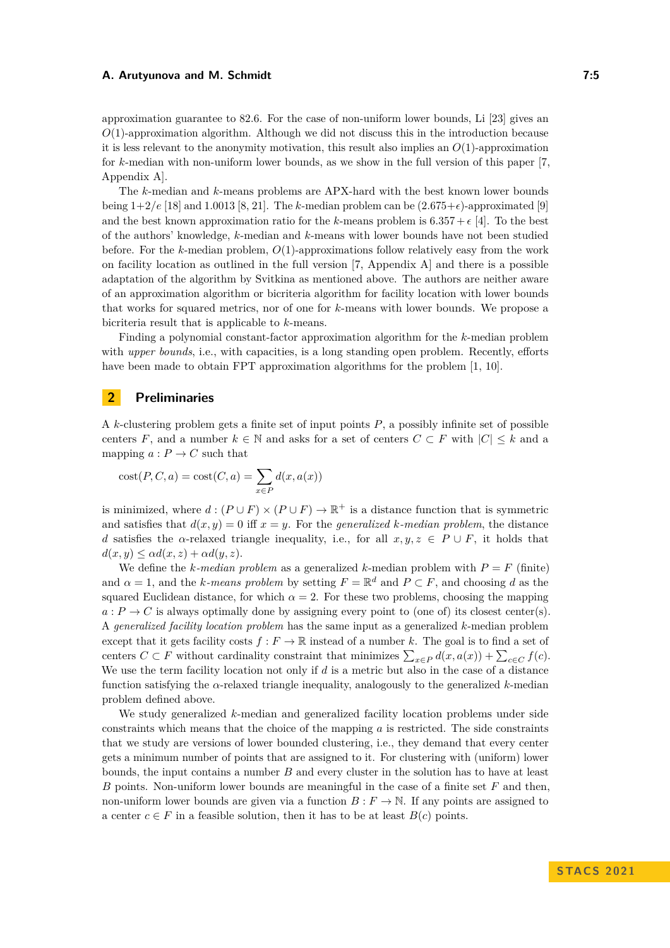approximation guarantee to 82*.*6. For the case of non-uniform lower bounds, Li [\[23\]](#page-16-10) gives an *O*(1)-approximation algorithm. Although we did not discuss this in the introduction because it is less relevant to the anonymity motivation, this result also implies an  $O(1)$ -approximation for *k*-median with non-uniform lower bounds, as we show in the full version of this paper [\[7,](#page-15-0) Appendix A].

The *k*-median and *k*-means problems are APX-hard with the best known lower bounds being  $1+2/e$  [\[18\]](#page-16-11) and 1.0013 [\[8,](#page-15-6) [21\]](#page-16-12). The *k*-median problem can be  $(2.675+\epsilon)$ -approximated [\[9\]](#page-16-13) and the best known approximation ratio for the *k*-means problem is  $6.357 + \epsilon$  [\[4\]](#page-15-7). To the best of the authors' knowledge, *k*-median and *k*-means with lower bounds have not been studied before. For the *k*-median problem, *O*(1)-approximations follow relatively easy from the work on facility location as outlined in the full version [\[7,](#page-15-0) Appendix A] and there is a possible adaptation of the algorithm by Svitkina as mentioned above. The authors are neither aware of an approximation algorithm or bicriteria algorithm for facility location with lower bounds that works for squared metrics, nor of one for *k*-means with lower bounds. We propose a bicriteria result that is applicable to *k*-means.

Finding a polynomial constant-factor approximation algorithm for the *k*-median problem with *upper bounds*, i.e., with capacities, is a long standing open problem. Recently, efforts have been made to obtain FPT approximation algorithms for the problem [\[1,](#page-15-5) [10\]](#page-16-14).

# **2 Preliminaries**

A *k*-clustering problem gets a finite set of input points *P*, a possibly infinite set of possible centers *F*, and a number  $k \in \mathbb{N}$  and asks for a set of centers  $C \subset F$  with  $|C| \leq k$  and a mapping  $a: P \to C$  such that

$$
cost(P, C, a) = cost(C, a) = \sum_{x \in P} d(x, a(x))
$$

is minimized, where  $d: (P \cup F) \times (P \cup F) \to \mathbb{R}^+$  is a distance function that is symmetric and satisfies that  $d(x, y) = 0$  iff  $x = y$ . For the *generalized k-median problem*, the distance *d* satisfies the *α*-relaxed triangle inequality, i.e., for all  $x, y, z \in P \cup F$ , it holds that  $d(x, y) \leq \alpha d(x, z) + \alpha d(y, z).$ 

We define the *k*-median problem as a generalized *k*-median problem with  $P = F$  (finite) and  $\alpha = 1$ , and the *k*-means problem by setting  $F = \mathbb{R}^d$  and  $P \subset F$ , and choosing *d* as the squared Euclidean distance, for which  $\alpha = 2$ . For these two problems, choosing the mapping  $a: P \to C$  is always optimally done by assigning every point to (one of) its closest center(s). A *generalized facility location problem* has the same input as a generalized *k*-median problem except that it gets facility costs  $f : F \to \mathbb{R}$  instead of a number k. The goal is to find a set of centers  $C \subset F$  without cardinality constraint that minimizes  $\sum_{x \in P} d(x, a(x)) + \sum_{c \in C} f(c)$ . We use the term facility location not only if *d* is a metric but also in the case of a distance function satisfying the *α*-relaxed triangle inequality, analogously to the generalized *k*-median problem defined above.

We study generalized *k*-median and generalized facility location problems under side constraints which means that the choice of the mapping *a* is restricted. The side constraints that we study are versions of lower bounded clustering, i.e., they demand that every center gets a minimum number of points that are assigned to it. For clustering with (uniform) lower bounds, the input contains a number *B* and every cluster in the solution has to have at least *B* points. Non-uniform lower bounds are meaningful in the case of a finite set *F* and then, non-uniform lower bounds are given via a function  $B: F \to \mathbb{N}$ . If any points are assigned to a center  $c \in F$  in a feasible solution, then it has to be at least  $B(c)$  points.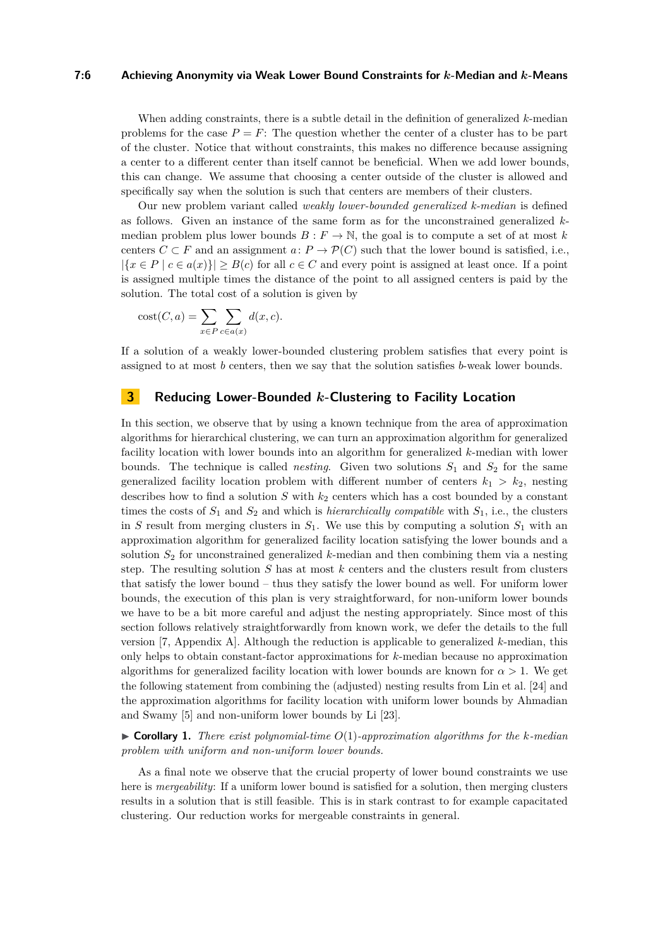#### **7:6 Achieving Anonymity via Weak Lower Bound Constraints for** *k***-Median and** *k***-Means**

When adding constraints, there is a subtle detail in the definition of generalized *k*-median problems for the case  $P = F$ : The question whether the center of a cluster has to be part of the cluster. Notice that without constraints, this makes no difference because assigning a center to a different center than itself cannot be beneficial. When we add lower bounds, this can change. We assume that choosing a center outside of the cluster is allowed and specifically say when the solution is such that centers are members of their clusters.

Our new problem variant called *weakly lower-bounded generalized k-median* is defined as follows. Given an instance of the same form as for the unconstrained generalized *k*median problem plus lower bounds  $B: F \to \mathbb{N}$ , the goal is to compute a set of at most k centers  $C \subset F$  and an assignment  $a: P \to \mathcal{P}(C)$  such that the lower bound is satisfied, i.e.,  $|\{x \in P \mid c \in a(x)\}| \geq B(c)$  for all  $c \in C$  and every point is assigned at least once. If a point is assigned multiple times the distance of the point to all assigned centers is paid by the solution. The total cost of a solution is given by

$$
cost(C, a) = \sum_{x \in P} \sum_{c \in a(x)} d(x, c).
$$

If a solution of a weakly lower-bounded clustering problem satisfies that every point is assigned to at most *b* centers, then we say that the solution satisfies *b*-weak lower bounds.

# **3 Reducing Lower-Bounded** *k***-Clustering to Facility Location**

In this section, we observe that by using a known technique from the area of approximation algorithms for hierarchical clustering, we can turn an approximation algorithm for generalized facility location with lower bounds into an algorithm for generalized *k*-median with lower bounds. The technique is called *nesting*. Given two solutions  $S_1$  and  $S_2$  for the same generalized facility location problem with different number of centers  $k_1 > k_2$ , nesting describes how to find a solution  $S$  with  $k_2$  centers which has a cost bounded by a constant times the costs of  $S_1$  and  $S_2$  and which is *hierarchically compatible* with  $S_1$ , i.e., the clusters in *S* result from merging clusters in  $S_1$ . We use this by computing a solution  $S_1$  with an approximation algorithm for generalized facility location satisfying the lower bounds and a solution  $S_2$  for unconstrained generalized  $k$ -median and then combining them via a nesting step. The resulting solution *S* has at most *k* centers and the clusters result from clusters that satisfy the lower bound – thus they satisfy the lower bound as well. For uniform lower bounds, the execution of this plan is very straightforward, for non-uniform lower bounds we have to be a bit more careful and adjust the nesting appropriately. Since most of this section follows relatively straightforwardly from known work, we defer the details to the full version [\[7,](#page-15-0) Appendix A]. Although the reduction is applicable to generalized *k*-median, this only helps to obtain constant-factor approximations for *k*-median because no approximation algorithms for generalized facility location with lower bounds are known for  $\alpha > 1$ . We get the following statement from combining the (adjusted) nesting results from Lin et al. [\[24\]](#page-16-15) and the approximation algorithms for facility location with uniform lower bounds by Ahmadian and Swamy [\[5\]](#page-15-2) and non-uniform lower bounds by Li [\[23\]](#page-16-10).

 $\triangleright$  **Corollary 1.** *There exist polynomial-time*  $O(1)$ *-approximation algorithms for the k-median problem with uniform and non-uniform lower bounds.*

As a final note we observe that the crucial property of lower bound constraints we use here is *mergeability*: If a uniform lower bound is satisfied for a solution, then merging clusters results in a solution that is still feasible. This is in stark contrast to for example capacitated clustering. Our reduction works for mergeable constraints in general.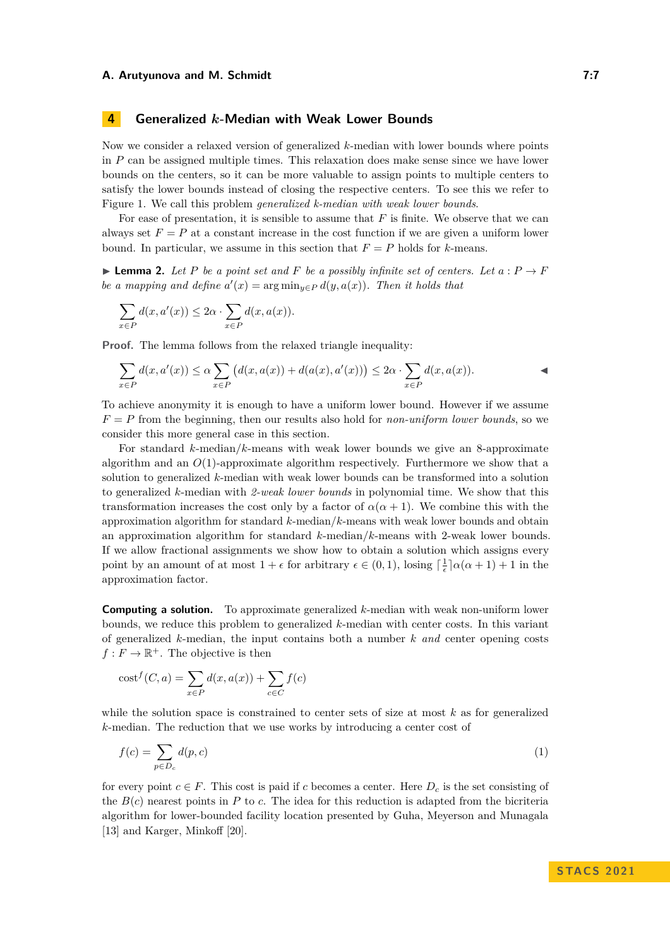# **4 Generalized** *k***-Median with Weak Lower Bounds**

Now we consider a relaxed version of generalized *k*-median with lower bounds where points in *P* can be assigned multiple times. This relaxation does make sense since we have lower bounds on the centers, so it can be more valuable to assign points to multiple centers to satisfy the lower bounds instead of closing the respective centers. To see this we refer to Figure [1.](#page-2-0) We call this problem *generalized k-median with weak lower bounds*.

For ease of presentation, it is sensible to assume that *F* is finite. We observe that we can always set  $F = P$  at a constant increase in the cost function if we are given a uniform lower bound. In particular, we assume in this section that  $F = P$  holds for *k*-means.

 $\blacktriangleright$  **Lemma 2.** Let P be a point set and F be a possibly infinite set of centers. Let  $a: P \to F$ *be a mapping and define*  $a'(x) = \arg \min_{y \in P} d(y, a(x))$ *. Then it holds that* 

$$
\sum_{x \in P} d(x, a'(x)) \le 2\alpha \cdot \sum_{x \in P} d(x, a(x)).
$$

**Proof.** The lemma follows from the relaxed triangle inequality:

$$
\sum_{x \in P} d(x, a'(x)) \le \alpha \sum_{x \in P} \left( d(x, a(x)) + d(a(x), a'(x)) \right) \le 2\alpha \cdot \sum_{x \in P} d(x, a(x)).
$$

To achieve anonymity it is enough to have a uniform lower bound. However if we assume  $F = P$  from the beginning, then our results also hold for *non-uniform lower bounds*, so we consider this more general case in this section.

For standard *k*-median/*k*-means with weak lower bounds we give an 8-approximate algorithm and an *O*(1)-approximate algorithm respectively. Furthermore we show that a solution to generalized *k*-median with weak lower bounds can be transformed into a solution to generalized *k*-median with *2-weak lower bounds* in polynomial time. We show that this transformation increases the cost only by a factor of  $\alpha(\alpha+1)$ . We combine this with the approximation algorithm for standard *k*-median/*k*-means with weak lower bounds and obtain an approximation algorithm for standard *k*-median/*k*-means with 2-weak lower bounds. If we allow fractional assignments we show how to obtain a solution which assigns every point by an amount of at most  $1 + \epsilon$  for arbitrary  $\epsilon \in (0, 1)$ , losing  $\lceil \frac{1}{\epsilon} \rceil \alpha(\alpha + 1) + 1$  in the approximation factor.

<span id="page-6-1"></span>**Computing a solution.** To approximate generalized *k*-median with weak non-uniform lower bounds, we reduce this problem to generalized *k*-median with center costs. In this variant of generalized *k*-median, the input contains both a number *k and* center opening costs  $f: F \to \mathbb{R}^+$ . The objective is then

$$
cost^{f}(C, a) = \sum_{x \in P} d(x, a(x)) + \sum_{c \in C} f(c)
$$

while the solution space is constrained to center sets of size at most *k* as for generalized *k*-median. The reduction that we use works by introducing a center cost of

<span id="page-6-0"></span>
$$
f(c) = \sum_{p \in D_c} d(p, c) \tag{1}
$$

for every point  $c \in F$ . This cost is paid if *c* becomes a center. Here  $D_c$  is the set consisting of the  $B(c)$  nearest points in P to c. The idea for this reduction is adapted from the bicriteria algorithm for lower-bounded facility location presented by Guha, Meyerson and Munagala [\[13\]](#page-16-1) and Karger, Minkoff [\[20\]](#page-16-0).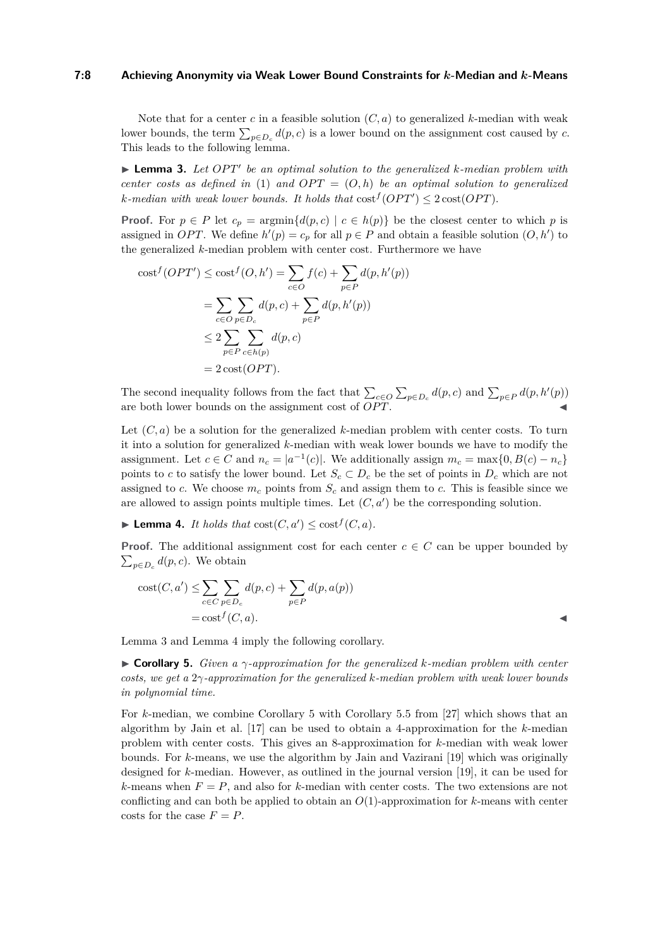## **7:8 Achieving Anonymity via Weak Lower Bound Constraints for** *k***-Median and** *k***-Means**

Note that for a center  $c$  in a feasible solution  $(C, a)$  to generalized  $k$ -median with weak lower bounds, the term  $\sum_{p \in D_c} d(p, c)$  is a lower bound on the assignment cost caused by *c*. This leads to the following lemma.

<span id="page-7-0"></span>▶ **Lemma 3.** *Let OPT' be an optimal solution to the generalized k*-median problem with *center costs as defined in* [\(1\)](#page-6-0) *and*  $OPT = (O, h)$  *be an optimal solution to generalized k*-median with weak lower bounds. It holds that  $cost^f(OPT') \leq 2cost(OPT)$ .

**Proof.** For  $p \in P$  let  $c_p = \operatorname{argmin} \{d(p, c) \mid c \in h(p)\}$  be the closest center to which p is assigned in *OPT*. We define  $h'(p) = c_p$  for all  $p \in P$  and obtain a feasible solution  $(O, h')$  to the generalized *k*-median problem with center cost. Furthermore we have

$$
\operatorname{cost}^f(OPT') \le \operatorname{cost}^f(O, h') = \sum_{c \in O} f(c) + \sum_{p \in P} d(p, h'(p))
$$

$$
= \sum_{c \in O} \sum_{p \in D_c} d(p, c) + \sum_{p \in P} d(p, h'(p))
$$

$$
\le 2 \sum_{p \in P} \sum_{c \in h(p)} d(p, c)
$$

$$
= 2 \operatorname{cost}(OPT).
$$

The second inequality follows from the fact that  $\sum_{c \in O} \sum_{p \in D_c} d(p, c)$  and  $\sum_{p \in P} d(p, h'(p))$ are both lower bounds on the assignment cost of  $OPT$ .

Let (*C, a*) be a solution for the generalized *k*-median problem with center costs. To turn it into a solution for generalized *k*-median with weak lower bounds we have to modify the assignment. Let  $c \in C$  and  $n_c = |a^{-1}(c)|$ . We additionally assign  $m_c = \max\{0, B(c) - n_c\}$ points to *c* to satisfy the lower bound. Let  $S_c \subset D_c$  be the set of points in  $D_c$  which are not assigned to *c*. We choose  $m_c$  points from  $S_c$  and assign them to *c*. This is feasible since we are allowed to assign points multiple times. Let  $(C, a')$  be the corresponding solution.

<span id="page-7-1"></span> $\blacktriangleright$  Lemma 4. It holds that  $\text{cost}(C, a') \leq \text{cost}^f(C, a)$ .

**Proof.** The additional assignment cost for each center  $c \in C$  can be upper bounded by  $\sum_{p \in D_c} d(p, c)$ . We obtain

$$
cost(C, a') \le \sum_{c \in C} \sum_{p \in D_c} d(p, c) + \sum_{p \in P} d(p, a(p))
$$
  
= cost<sup>f</sup>(C, a).

<span id="page-7-2"></span>Lemma [3](#page-7-0) and Lemma [4](#page-7-1) imply the following corollary.

▶ **Corollary 5.** *Given a γ-approximation for the generalized k-median problem with center costs, we get a* 2*γ-approximation for the generalized k-median problem with weak lower bounds in polynomial time.*

For *k*-median, we combine Corollary [5](#page-7-2) with Corollary 5.5 from [\[27\]](#page-16-16) which shows that an algorithm by Jain et al. [\[17\]](#page-16-17) can be used to obtain a 4-approximation for the *k*-median problem with center costs. This gives an 8-approximation for *k*-median with weak lower bounds. For *k*-means, we use the algorithm by Jain and Vazirani [\[19\]](#page-16-18) which was originally designed for *k*-median. However, as outlined in the journal version [\[19\]](#page-16-18), it can be used for  $k$ -means when  $F = P$ , and also for  $k$ -median with center costs. The two extensions are not conflicting and can both be applied to obtain an *O*(1)-approximation for *k*-means with center costs for the case  $F = P$ .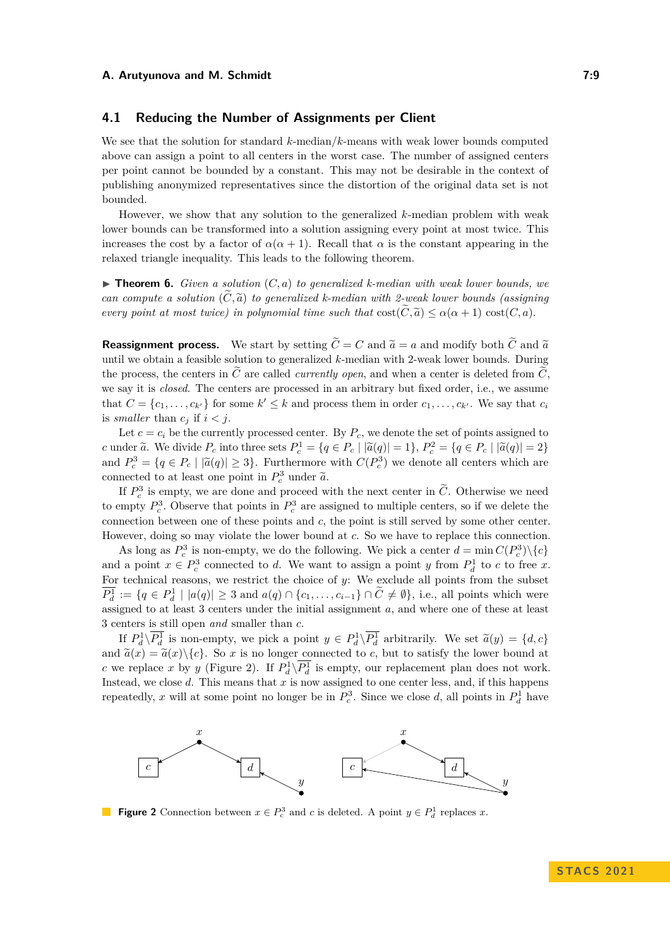# **4.1 Reducing the Number of Assignments per Client**

We see that the solution for standard *k*-median/*k*-means with weak lower bounds computed above can assign a point to all centers in the worst case. The number of assigned centers per point cannot be bounded by a constant. This may not be desirable in the context of publishing anonymized representatives since the distortion of the original data set is not bounded.

However, we show that any solution to the generalized *k*-median problem with weak lower bounds can be transformed into a solution assigning every point at most twice. This increases the cost by a factor of  $\alpha(\alpha + 1)$ . Recall that  $\alpha$  is the constant appearing in the relaxed triangle inequality. This leads to the following theorem.

<span id="page-8-1"></span>▶ **Theorem 6.** *Given a solution* (*C, a*) *to generalized k-median with weak lower bounds, we can compute a solution*  $(C, \tilde{a})$  *to generalized k-median with 2-weak lower bounds (assigning every point at most twice) in polynomial time such that*  $\cos(\widetilde{C}, \widetilde{a}) \leq \alpha(\alpha + 1) \cos(C, a)$ .

**Reassignment process.** We start by setting  $\widetilde{C} = C$  and  $\widetilde{a} = a$  and modify both  $\widetilde{C}$  and  $\widetilde{a}$ until we obtain a feasible solution to generalized *k*-median with 2-weak lower bounds. During the process, the centers in  $\tilde{C}$  are called *currently open*, and when a center is deleted from  $\tilde{C}$ , we say it is *closed*. The centers are processed in an arbitrary but fixed order, i.e., we assume that  $C = \{c_1, \ldots, c_{k'}\}$  for some  $k' \leq k$  and process them in order  $c_1, \ldots, c_{k'}$ . We say that  $c_i$ is *smaller* than  $c_j$  if  $i < j$ .

Let  $c = c_i$  be the currently processed center. By  $P_c$ , we denote the set of points assigned to c under  $\tilde{a}$ . We divide  $P_c$  into three sets  $P_c^1 = \{q \in P_c \mid |\tilde{a}(q)| = 1\}$ ,  $P_c^2 = \{q \in P_c \mid |\tilde{a}(q)| = 2\}$ and  $P_c^3 = \{q \in P_c \mid |\tilde{a}(q)| \geq 3\}$ . Furthermore with  $C(P_c^3)$  we denote all centers which are connected to at least one point in  $P_c^3$  under  $\tilde{a}$ .

If  $P_c^3$  is empty, we are done and proceed with the next center in  $\tilde{C}$ . Otherwise we need to empty  $P_c^3$ . Observe that points in  $P_c^3$  are assigned to multiple centers, so if we delete the connection between one of these points and *c*, the point is still served by some other center. However, doing so may violate the lower bound at *c*. So we have to replace this connection.

As long as  $P_c^3$  is non-empty, we do the following. We pick a center  $d = \min C(P_c^3) \setminus \{c\}$ and a point  $x \in P_c^3$  connected to *d*. We want to assign a point *y* from  $P_d^1$  to *c* to free *x*. For technical reasons, we restrict the choice of *y*: We exclude all points from the subset  $P_d^1 := \{q \in P_d^1 \mid |a(q)| \geq 3 \text{ and } a(q) \cap \{c_1, \ldots, c_{i-1}\} \cap C \neq \emptyset\}, \text{ i.e., all points which were}$ assigned to at least 3 centers under the initial assignment *a*, and where one of these at least 3 centers is still open *and* smaller than *c*.

If  $P_d^1 \setminus P_d^1$  is non-empty, we pick a point  $y \in P_d^1 \setminus P_d^1$  arbitrarily. We set  $\tilde{a}(y) = \{d, c\}$ <br> $\tilde{a}(z) = \tilde{a}(z)$ and  $\tilde{a}(x) = \tilde{a}(x)\setminus\{c\}$ . So *x* is no longer connected to *c*, but to satisfy the lower bound at *c* we replace *x* by *y* (Figure [2\)](#page-8-0). If  $P_d^1 \backslash P_d^1$  is empty, our replacement plan does not work. Instead, we close *d*. This means that *x* is now assigned to one center less, and, if this happens repeatedly, x will at some point no longer be in  $P_c^3$ . Since we close d, all points in  $P_d^1$  have

<span id="page-8-0"></span>

**Figure 2** Connection between  $x \in P_c^3$  and *c* is deleted. A point  $y \in P_d^1$  replaces *x*.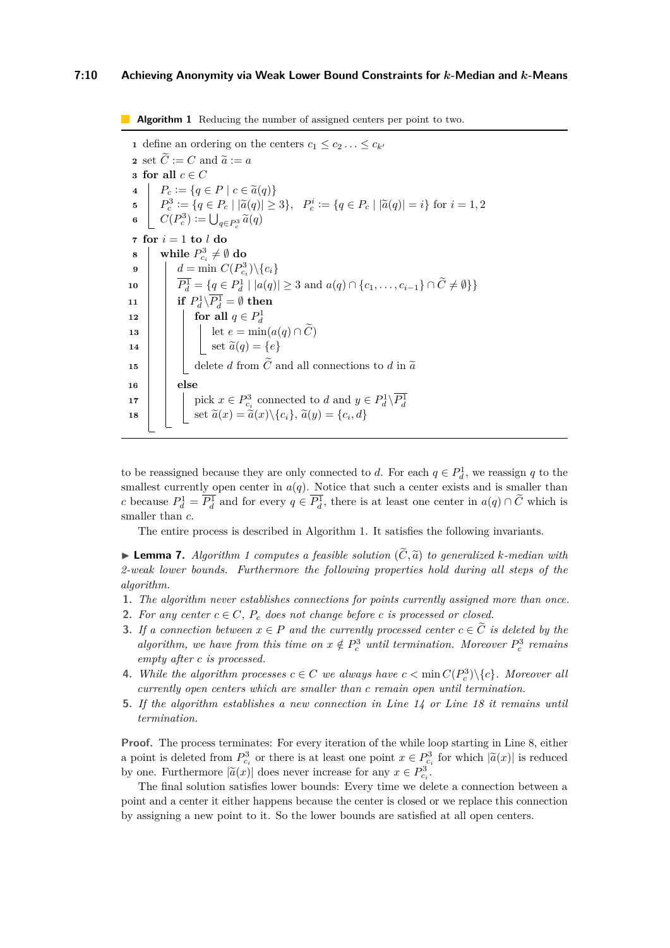**Algorithm 1** Reducing the number of assigned centers per point to two.

<span id="page-9-12"></span><span id="page-9-9"></span><span id="page-9-3"></span><span id="page-9-0"></span> define an ordering on the centers  $c_1 \leq c_2 \ldots \leq c_k$  set  $\widetilde{C} := C$  and  $\widetilde{a} := a$  for all  $c \in C$  $P_c := \{q \in P \mid c \in \tilde{a}(q)\}\$ <br>
5  $P_c^3 := \{q \in P_c \mid |\tilde{a}(q)| \geq 3\}, P_c^i := \{q \in P_c \mid |\tilde{a}(q)| = i\}$  for  $i = 1, 2$ <br>
6  $C(P_c^3) := \bigcup_{q \in P_c^3} \tilde{a}(q)$  for  $i = 1$  to  $l$  do  $\textbf{8} \parallel \textbf{while} \; P^3_{c_i} \neq \emptyset \; \textbf{do}$   $d = \min C(P_{c_i}^3) \setminus \{c_i\}$   $P_d^1 = \{q \in P_d^1 \mid |a(q)| \geq 3 \text{ and } a(q) \cap \{c_1, \ldots, c_{i-1}\} \cap C \neq \emptyset \}$  $\textbf{p} \textbf{1} \textbf{1} \quad | \quad \textbf{if} \ \ P^1_d \backslash P^1_d = \emptyset \textbf{ then }$  $\blacksquare$  **for all**  $q \in P_d^1$   $\left| \begin{array}{c} \hline \end{array} \right|$  let  $e = \min(a(q) \cap C)$   $\left| \begin{array}{c} \end{array} \right| \left| \begin{array}{c} \end{array} \right| \in \text{Set } \widetilde{a}(q) = \{e\}$  delete *d* from  $\widetilde{C}$  and all connections to *d* in  $\widetilde{a}$ **<sup>16</sup> else** 17<br>
18
<br>
L  $\begin{array}{c}\n\text{pick } x \in P_{c_i}^3 \text{ connected to } d \text{ and } y \in P_d^1 \backslash P_d^1 \\
\text{set } \tilde{a}(x) = \tilde{a}(x) \backslash \{c_i\}, \tilde{a}(y) = \{c_i, d\}\n\end{array}$ 

<span id="page-9-13"></span><span id="page-9-10"></span><span id="page-9-2"></span><span id="page-9-1"></span>to be reassigned because they are only connected to *d*. For each  $q \in P_d^1$ , we reassign *q* to the smallest currently open center in  $a(q)$ . Notice that such a center exists and is smaller than *c* because  $P_d^1 = \overline{P_d^1}$  and for every  $q \in \overline{P_d^1}$ , there is at least one center in  $a(q) \cap \tilde{C}$  which is smaller than *c*.

The entire process is described in Algorithm [1.](#page-9-0) It satisfies the following invariants.

<span id="page-9-11"></span> $\blacktriangleright$  **Lemma 7.** Algorithm [1](#page-9-0) computes a feasible solution  $(\widetilde{C}, \widetilde{a})$  to generalized *k*-median with *2-weak lower bounds. Furthermore the following properties hold during all steps of the algorithm.*

- <span id="page-9-4"></span>**1.** *The algorithm never establishes connections for points currently assigned more than once.*
- <span id="page-9-5"></span>**2.** *For any center*  $c \in C$ *,*  $P_c$  *does not change before c is processed or closed.*
- <span id="page-9-6"></span>**3.** If a connection between  $x \in P$  and the currently processed center  $c \in \tilde{C}$  is deleted by the *algorithm, we have from this time on*  $x \notin P_c^3$  *until termination. Moreover*  $P_c^3$  *remains empty after c is processed.*
- <span id="page-9-7"></span>**4.** *While the algorithm processes*  $c \in C$  *we always have*  $c < \min C(P_c^3) \setminus \{c\}$ *. Moreover all currently open centers which are smaller than c remain open until termination.*
- <span id="page-9-8"></span>**5.** *If the algorithm establishes a new connection in Line [14](#page-9-1) or Line [18](#page-9-2) it remains until termination.*

**Proof.** The process terminates: For every iteration of the while loop starting in Line [8,](#page-9-3) either a point is deleted from  $P_{ci}^3$  or there is at least one point  $x \in P_{ci}^3$  for which  $|\tilde{a}(x)|$  is reduced<br>by an *Eurkhaman*  $|\tilde{a}(x)|$  *does not* is representing  $\in P_{ci}^3$ by one. Furthermore  $|\tilde{a}(x)|$  does never increase for any  $x \in P_0^3$ .

The final solution satisfies lower bounds: Every time we delete a connection between a point and a center it either happens because the center is closed or we replace this connection by assigning a new point to it. So the lower bounds are satisfied at all open centers.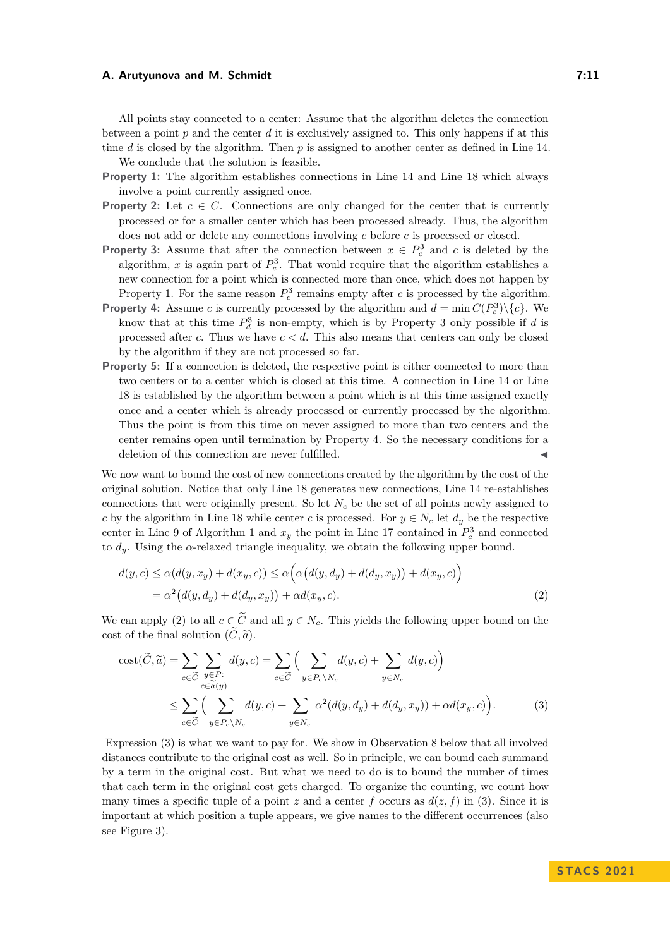#### **A. Arutyunova and M. Schmidt 7:11 A. A. A.** *T***.11 <b>***T.11*

All points stay connected to a center: Assume that the algorithm deletes the connection between a point *p* and the center *d* it is exclusively assigned to. This only happens if at this time *d* is closed by the algorithm. Then *p* is assigned to another center as defined in Line [14.](#page-9-1)

- We conclude that the solution is feasible.
- **Property [1:](#page-9-4)** The algorithm establishes connections in Line [14](#page-9-1) and Line [18](#page-9-2) which always involve a point currently assigned once.
- **Property** [2:](#page-9-5) Let  $c \in C$ . Connections are only changed for the center that is currently processed or for a smaller center which has been processed already. Thus, the algorithm does not add or delete any connections involving *c* before *c* is processed or closed.
- **Property [3:](#page-9-6)** Assume that after the connection between  $x \in P_c^3$  and *c* is deleted by the algorithm,  $x$  is again part of  $P_c^3$ . That would require that the algorithm establishes a new connection for a point which is connected more than once, which does not happen by Property [1.](#page-9-4) For the same reason  $P_c^3$  remains empty after *c* is processed by the algorithm.
- **Property** [4:](#page-9-7) Assume *c* is currently processed by the algorithm and  $d = \min C(P_c^3) \setminus \{c\}$ . We know that at this time  $P_d^3$  is non-empty, which is by Property [3](#page-9-6) only possible if *d* is processed after  $c$ . Thus we have  $c < d$ . This also means that centers can only be closed by the algorithm if they are not processed so far.
- **Property [5:](#page-9-8)** If a connection is deleted, the respective point is either connected to more than two centers or to a center which is closed at this time. A connection in Line [14](#page-9-1) or Line [18](#page-9-2) is established by the algorithm between a point which is at this time assigned exactly once and a center which is already processed or currently processed by the algorithm. Thus the point is from this time on never assigned to more than two centers and the center remains open until termination by Property [4.](#page-9-7) So the necessary conditions for a deletion of this connection are never fulfilled.

We now want to bound the cost of new connections created by the algorithm by the cost of the original solution. Notice that only Line [18](#page-9-2) generates new connections, Line [14](#page-9-1) re-establishes connections that were originally present. So let  $N_c$  be the set of all points newly assigned to *c* by the algorithm in Line [18](#page-9-2) while center *c* is processed. For  $y \in N_c$  let  $d_y$  be the respective center in Line [9](#page-9-9) of Algorithm [1](#page-9-0) and  $x_y$  the point in Line [17](#page-9-10) contained in  $P_c^3$  and connected to  $d_y$ . Using the  $\alpha$ -relaxed triangle inequality, we obtain the following upper bound.

<span id="page-10-0"></span>
$$
d(y,c) \leq \alpha(d(y,x_y) + d(x_y,c)) \leq \alpha\Big(\alpha\big(d(y,d_y) + d(d_y,x_y)\big) + d(x_y,c)\Big)
$$
  
=  $\alpha^2\big(d(y,d_y) + d(d_y,x_y)\big) + \alpha d(x_y,c).$  (2)

We can apply [\(2\)](#page-10-0) to all  $c \in \tilde{C}$  and all  $y \in N_c$ . This yields the following upper bound on the cost of the final solution  $(\widetilde{C}, \widetilde{a})$ .

<span id="page-10-1"></span>
$$
\begin{split} \operatorname{cost}(\widetilde{C}, \widetilde{a}) &= \sum_{c \in \widetilde{C}} \sum_{\substack{y \in P:\\c \in \widetilde{a}(y)}} d(y, c) = \sum_{c \in \widetilde{C}} \Big( \sum_{y \in P_c \setminus N_c} d(y, c) + \sum_{y \in N_c} d(y, c) \Big) \\ &\le \sum_{c \in \widetilde{C}} \Big( \sum_{y \in P_c \setminus N_c} d(y, c) + \sum_{y \in N_c} \alpha^2 (d(y, d_y) + d(d_y, x_y)) + \alpha d(x_y, c) \Big). \end{split} \tag{3}
$$

Expression [\(3\)](#page-10-1) is what we want to pay for. We show in Observation [8](#page-11-0) below that all involved distances contribute to the original cost as well. So in principle, we can bound each summand by a term in the original cost. But what we need to do is to bound the number of times that each term in the original cost gets charged. To organize the counting, we count how many times a specific tuple of a point *z* and a center *f* occurs as  $d(z, f)$  in [\(3\)](#page-10-1). Since it is important at which position a tuple appears, we give names to the different occurrences (also see Figure [3\)](#page-11-1).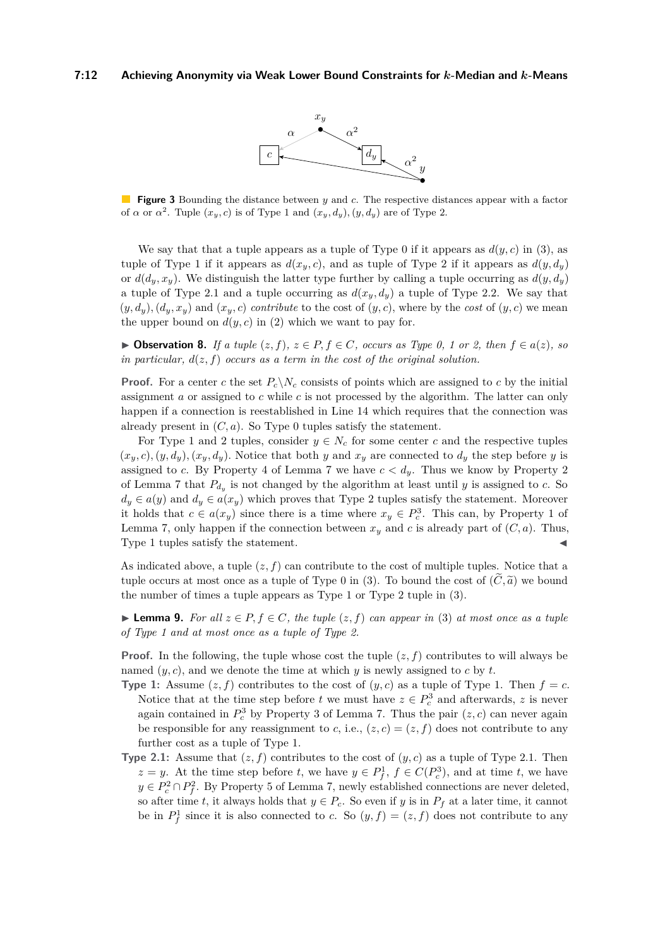#### <span id="page-11-1"></span>**7:12 Achieving Anonymity via Weak Lower Bound Constraints for** *k***-Median and** *k***-Means**



**Figure 3** Bounding the distance between *y* and *c*. The respective distances appear with a factor of  $\alpha$  or  $\alpha^2$ . Tuple  $(x_y, c)$  is of Type 1 and  $(x_y, d_y)$ ,  $(y, d_y)$  are of Type 2.

We say that that a tuple appears as a tuple of Type 0 if it appears as  $d(y, c)$  in [\(3\)](#page-10-1), as tuple of Type 1 if it appears as  $d(x_y, c)$ , and as tuple of Type 2 if it appears as  $d(y, d_y)$ or  $d(d_y, x_y)$ . We distinguish the latter type further by calling a tuple occurring as  $d(y, d_y)$ a tuple of Type 2.1 and a tuple occurring as  $d(x_y, d_y)$  a tuple of Type 2.2. We say that  $(y, d_y)$ ,  $(d_y, x_y)$  and  $(x_y, c)$  *contribute* to the cost of  $(y, c)$ , where by the *cost* of  $(y, c)$  we mean the upper bound on  $d(y, c)$  in [\(2\)](#page-10-0) which we want to pay for.

<span id="page-11-0"></span>▶ **Observation 8.** *If a tuple*  $(z, f)$ *,*  $z \in P$ *,*  $f \in C$ *, occurs as Type 0, 1 or 2, then*  $f \in a(z)$ *, so in particular, d*(*z, f*) *occurs as a term in the cost of the original solution.*

**Proof.** For a center *c* the set  $P_c\backslash N_c$  consists of points which are assigned to *c* by the initial assignment *a* or assigned to *c* while *c* is not processed by the algorithm. The latter can only happen if a connection is reestablished in Line [14](#page-9-1) which requires that the connection was already present in  $(C, a)$ . So Type 0 tuples satisfy the statement.

For Type 1 and 2 tuples, consider  $y \in N_c$  for some center *c* and the respective tuples  $(x_y, c)$ ,  $(y, d_y)$ ,  $(x_y, d_y)$ . Notice that both *y* and  $x_y$  are connected to  $d_y$  the step before *y* is assigned to *c*. By Property [4](#page-9-7) of Lemma [7](#page-9-11) we have  $c < d_y$ . Thus we know by Property [2](#page-9-5) of Lemma [7](#page-9-11) that  $P_{d_y}$  is not changed by the algorithm at least until *y* is assigned to *c*. So  $d_y \in a(y)$  and  $d_y \in a(x_y)$  which proves that Type 2 tuples satisfy the statement. Moreover it holds that  $c \in a(x_y)$  since there is a time where  $x_y \in P_c^3$ . This can, by Property [1](#page-9-4) of Lemma [7,](#page-9-11) only happen if the connection between  $x<sub>y</sub>$  and *c* is already part of  $(C, a)$ . Thus, Type 1 tuples satisfy the statement.

As indicated above, a tuple  $(z, f)$  can contribute to the cost of multiple tuples. Notice that a tuple occurs at most once as a tuple of Type 0 in [\(3\)](#page-10-1). To bound the cost of  $(C, \tilde{a})$  we bound the number of times a tuple appears as Type 1 or Type 2 tuple in [\(3\)](#page-10-1).

<span id="page-11-2"></span>▶ **Lemma 9.** *For all*  $z \in P$ ,  $f \in C$ *, the tuple*  $(z, f)$  *can appear in* [\(3\)](#page-10-1) *at most once as a tuple of Type 1 and at most once as a tuple of Type 2.*

**Proof.** In the following, the tuple whose cost the tuple  $(z, f)$  contributes to will always be named  $(y, c)$ , and we denote the time at which  $y$  is newly assigned to  $c$  by  $t$ .

- **Type 1:** Assume  $(z, f)$  contributes to the cost of  $(y, c)$  as a tuple of Type 1. Then  $f = c$ . Notice that at the time step before *t* we must have  $z \in P_c^3$  and afterwards, *z* is never again contained in  $P_c^3$  by Property [3](#page-9-6) of Lemma [7.](#page-9-11) Thus the pair  $(z, c)$  can never again be responsible for any reassignment to *c*, i.e.,  $(z, c) = (z, f)$  does not contribute to any further cost as a tuple of Type 1.
- **Type 2.1:** Assume that  $(z, f)$  contributes to the cost of  $(y, c)$  as a tuple of Type 2.1. Then  $z = y$ . At the time step before *t*, we have  $y \in P_f^1$ ,  $f \in C(P_c^3)$ , and at time *t*, we have  $y \in P_c^2 \cap P_f^2$ . By Property [5](#page-9-8) of Lemma [7,](#page-9-11) newly established connections are never deleted, so after time *t*, it always holds that  $y \in P_c$ . So even if *y* is in  $P_f$  at a later time, it cannot be in  $P_f^1$  since it is also connected to *c*. So  $(y, f) = (z, f)$  does not contribute to any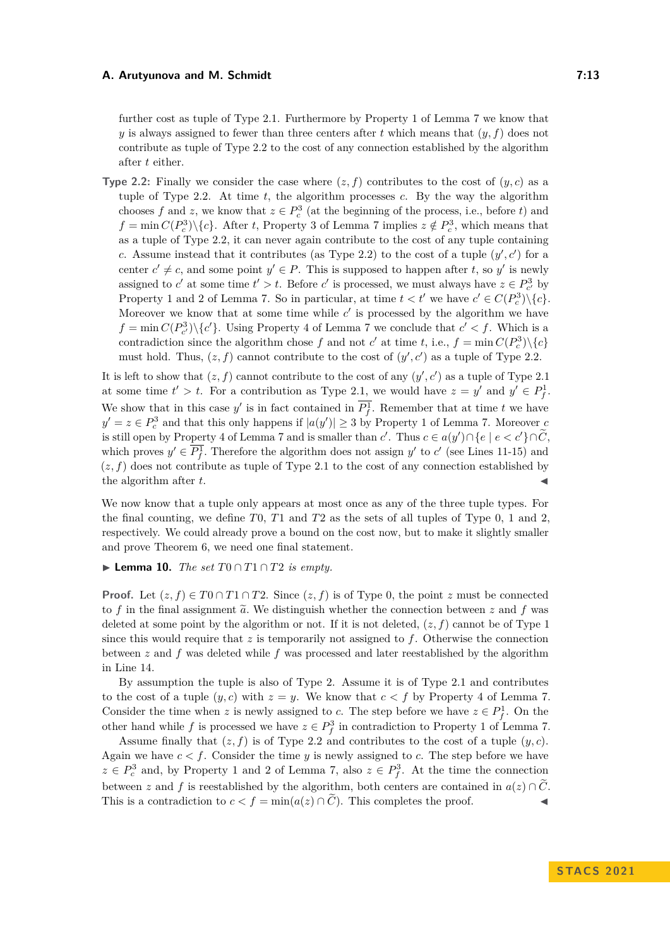#### **A. Arutyunova and M. Schmidt 7:13 A. Arutyunova and M. Schmidt** 7:13

further cost as tuple of Type 2.1. Furthermore by Property [1](#page-9-4) of Lemma [7](#page-9-11) we know that *y* is always assigned to fewer than three centers after *t* which means that  $(y, f)$  does not contribute as tuple of Type 2.2 to the cost of any connection established by the algorithm after *t* either.

**Type 2.2:** Finally we consider the case where  $(z, f)$  contributes to the cost of  $(y, c)$  as a tuple of Type 2.2. At time *t*, the algorithm processes *c*. By the way the algorithm chooses *f* and *z*, we know that  $z \in P_c^3$  (at the beginning of the process, i.e., before *t*) and  $f = \min C(P_c^3) \setminus \{c\}$ . After *t*, Property [3](#page-9-6) of Lemma [7](#page-9-11) implies  $z \notin P_c^3$ , which means that as a tuple of Type 2.2, it can never again contribute to the cost of any tuple containing *c*. Assume instead that it contributes (as Type 2.2) to the cost of a tuple  $(y', c')$  for a center  $c' \neq c$ , and some point  $y' \in P$ . This is supposed to happen after *t*, so *y'* is newly assigned to *c*' at some time  $t' > t$ . Before *c*' is processed, we must always have  $z \in P_{c'}^{3}$  by Property [1](#page-9-4) and [2](#page-9-5) of Lemma [7.](#page-9-11) So in particular, at time  $t < t'$  we have  $c' \in C(P_c^3) \setminus \{c\}$ . Moreover we know that at some time while  $c'$  is processed by the algorithm we have  $f = \min C(P_{c'}^3) \setminus \{c'\}$ . Using Property [4](#page-9-7) of Lemma [7](#page-9-11) we conclude that  $c' < f$ . Which is a contradiction since the algorithm chose *f* and not *c*' at time *t*, i.e.,  $f = \min C(P_c^3) \setminus \{c\}$ must hold. Thus,  $(z, f)$  cannot contribute to the cost of  $(y', c')$  as a tuple of Type 2.2.

It is left to show that  $(z, f)$  cannot contribute to the cost of any  $(y', c')$  as a tuple of Type 2.1 at some time  $t' > t$ . For a contribution as Type 2.1, we would have  $z = y'$  and  $y' \in P_f^1$ . We show that in this case  $y'$  is in fact contained in  $\overline{P_f^1}$ . Remember that at time *t* we have  $y' = z \in P_c^3$  and that this only happens if  $|a(y')| \geq 3$  by Property [1](#page-9-4) of Lemma [7.](#page-9-11) Moreover *c* is still open by Property [4](#page-9-7) of Lemma [7](#page-9-11) and is smaller than  $c'$ . Thus  $c \in a(y') \cap \{e \mid e < c'\} \cap \widetilde{C}$ , which proves  $y' \in \overline{P_f^1}$ . Therefore the algorithm does not assign  $y'$  to  $c'$  (see Lines [11-](#page-9-12)[15\)](#page-9-13) and  $(z, f)$  does not contribute as tuple of Type 2.1 to the cost of any connection established by the algorithm after *t*.

We now know that a tuple only appears at most once as any of the three tuple types. For the final counting, we define *T*0, *T*1 and *T*2 as the sets of all tuples of Type 0, 1 and 2, respectively. We could already prove a bound on the cost now, but to make it slightly smaller and prove Theorem [6,](#page-8-1) we need one final statement.

## <span id="page-12-0"></span>▶ **Lemma 10.** *The set*  $T0 \cap T1 \cap T2$  *is empty.*

**Proof.** Let  $(z, f) \in T_0 \cap T_1 \cap T_2$ . Since  $(z, f)$  is of Type 0, the point *z* must be connected to f in the final assignment  $\tilde{a}$ . We distinguish whether the connection between z and f was deleted at some point by the algorithm or not. If it is not deleted, (*z, f*) cannot be of Type 1 since this would require that *z* is temporarily not assigned to *f*. Otherwise the connection between *z* and *f* was deleted while *f* was processed and later reestablished by the algorithm in Line [14.](#page-9-1)

By assumption the tuple is also of Type 2. Assume it is of Type 2.1 and contributes to the cost of a tuple  $(y, c)$  with  $z = y$ . We know that  $c < f$  by Property [4](#page-9-7) of Lemma [7.](#page-9-11) Consider the time when *z* is newly assigned to *c*. The step before we have  $z \in P_f^1$ . On the other hand while *f* is processed we have  $z \in P_f^3$  in contradiction to Property [1](#page-9-4) of Lemma [7.](#page-9-11)

Assume finally that  $(z, f)$  is of Type 2.2 and contributes to the cost of a tuple  $(y, c)$ . Again we have  $c < f$ . Consider the time  $y$  is newly assigned to  $c$ . The step before we have  $z \in P_c^3$  and, by Property [1](#page-9-4) and [2](#page-9-5) of Lemma [7,](#page-9-11) also  $z \in P_f^3$ . At the time the connection between *z* and *f* is reestablished by the algorithm, both centers are contained in  $a(z) \cap \tilde{C}$ . This is a contradiction to  $c < f = \min(a(z) \cap \tilde{C})$ . This completes the proof.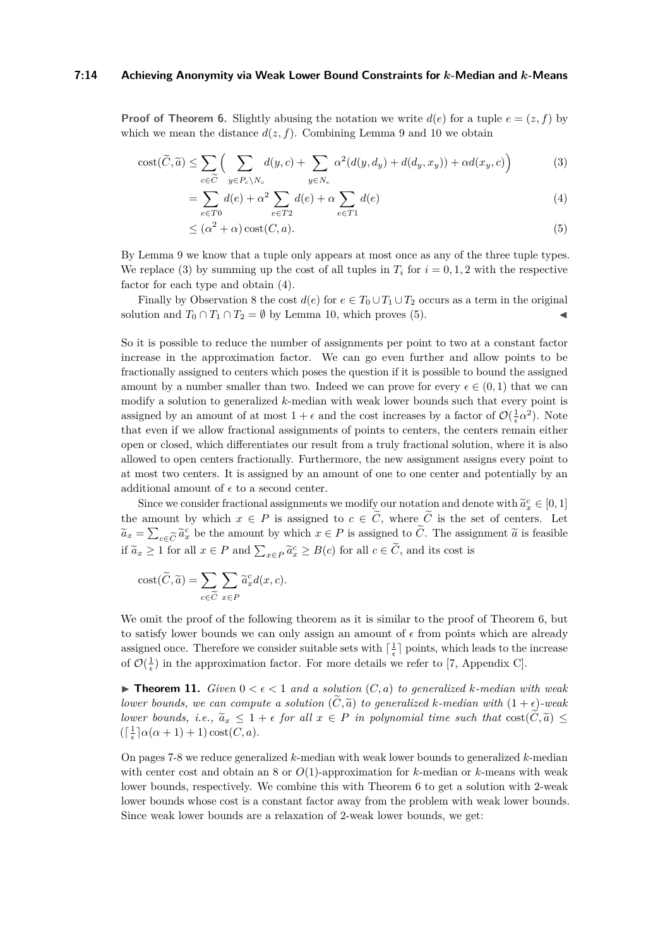#### **7:14 Achieving Anonymity via Weak Lower Bound Constraints for** *k***-Median and** *k***-Means**

**Proof of Theorem [6.](#page-8-1)** Slightly abusing the notation we write  $d(e)$  for a tuple  $e = (z, f)$  by which we mean the distance  $d(z, f)$ . Combining Lemma [9](#page-11-2) and [10](#page-12-0) we obtain

$$
cost(\widetilde{C}, \widetilde{a}) \le \sum_{c \in \widetilde{C}} \left( \sum_{y \in P_c \setminus N_c} d(y, c) + \sum_{y \in N_c} \alpha^2(d(y, d_y) + d(d_y, x_y)) + \alpha d(x_y, c) \right) \tag{3}
$$

<span id="page-13-0"></span>
$$
= \sum_{e \in T0}^{e \in C} d(e) + \alpha^2 \sum_{e \in T2}^{e \in N_c} d(e) + \alpha \sum_{e \in T1}^{e \in N_c} d(e) \tag{4}
$$

<span id="page-13-1"></span>
$$
\leq (\alpha^2 + \alpha)\cos(C, a). \tag{5}
$$

By Lemma [9](#page-11-2) we know that a tuple only appears at most once as any of the three tuple types. We replace [\(3\)](#page-10-1) by summing up the cost of all tuples in  $T_i$  for  $i = 0, 1, 2$  with the respective factor for each type and obtain [\(4\)](#page-13-0).

Finally by Observation [8](#page-11-0) the cost  $d(e)$  for  $e \in T_0 \cup T_1 \cup T_2$  occurs as a term in the original solution and  $T_0 \cap T_1 \cap T_2 = \emptyset$  by Lemma [10,](#page-12-0) which proves [\(5\)](#page-13-1).

So it is possible to reduce the number of assignments per point to two at a constant factor increase in the approximation factor. We can go even further and allow points to be fractionally assigned to centers which poses the question if it is possible to bound the assigned amount by a number smaller than two. Indeed we can prove for every  $\epsilon \in (0,1)$  that we can modify a solution to generalized *k*-median with weak lower bounds such that every point is assigned by an amount of at most  $1 + \epsilon$  and the cost increases by a factor of  $\mathcal{O}(\frac{1}{\epsilon}\alpha^2)$ . Note that even if we allow fractional assignments of points to centers, the centers remain either open or closed, which differentiates our result from a truly fractional solution, where it is also allowed to open centers fractionally. Furthermore, the new assignment assigns every point to at most two centers. It is assigned by an amount of one to one center and potentially by an additional amount of  $\epsilon$  to a second center.

Since we consider fractional assignments we modify our notation and denote with  $\tilde{a}_x^c \in [0,1]$ the amount by which  $x \in P$  is assigned to  $c \in \tilde{C}$ , where  $\tilde{C}$  is the set of centers. Let  $\widetilde{a}_x = \sum_{c \in \widetilde{C}} \widetilde{a}_x^c$  be the amount by which  $x \in P$  is assigned to  $\widetilde{C}$ . The assignment  $\widetilde{a}$  is feasible  $c \in C$ <br>1 f∩ if  $\tilde{a}_x \ge 1$  for all  $x \in P$  and  $\sum_{x \in P} \tilde{a}_x^c \ge B(c)$  for all  $c \in \tilde{C}$ , and its cost is

$$
cost(\widetilde{C}, \widetilde{a}) = \sum_{c \in \widetilde{C}} \sum_{x \in P} \widetilde{a}_x^c d(x, c).
$$

We omit the proof of the following theorem as it is similar to the proof of Theorem [6,](#page-8-1) but to satisfy lower bounds we can only assign an amount of  $\epsilon$  from points which are already assigned once. Therefore we consider suitable sets with  $\lceil \frac{1}{\epsilon} \rceil$  points, which leads to the increase of  $\mathcal{O}(\frac{1}{\epsilon})$  in the approximation factor. For more details we refer to [\[7,](#page-15-0) Appendix C].

<span id="page-13-2"></span>▶ **Theorem 11.** *Given*  $0 \lt \epsilon \lt 1$  *and a solution*  $(C, a)$  *to generalized k-median with weak lower bounds, we can compute a solution*  $(\widetilde{C}, \widetilde{a})$  *to generalized k-median with*  $(1 + \epsilon)$ *-weak lower bounds, i.e.,*  $\tilde{a}_x \leq 1 + \epsilon$  *for all*  $x \in P$  *in polynomial time such that*  $\cos(\tilde{C}, \tilde{a}) \leq$  $(\lceil \frac{1}{\epsilon} \rceil \alpha(\alpha + 1) + 1) \cos(t), a).$ 

On pages [7](#page-6-1)[-8](#page-7-2) we reduce generalized *k*-median with weak lower bounds to generalized *k*-median with center cost and obtain an 8 or *O*(1)-approximation for *k*-median or *k*-means with weak lower bounds, respectively. We combine this with Theorem [6](#page-8-1) to get a solution with 2-weak lower bounds whose cost is a constant factor away from the problem with weak lower bounds. Since weak lower bounds are a relaxation of 2-weak lower bounds, we get: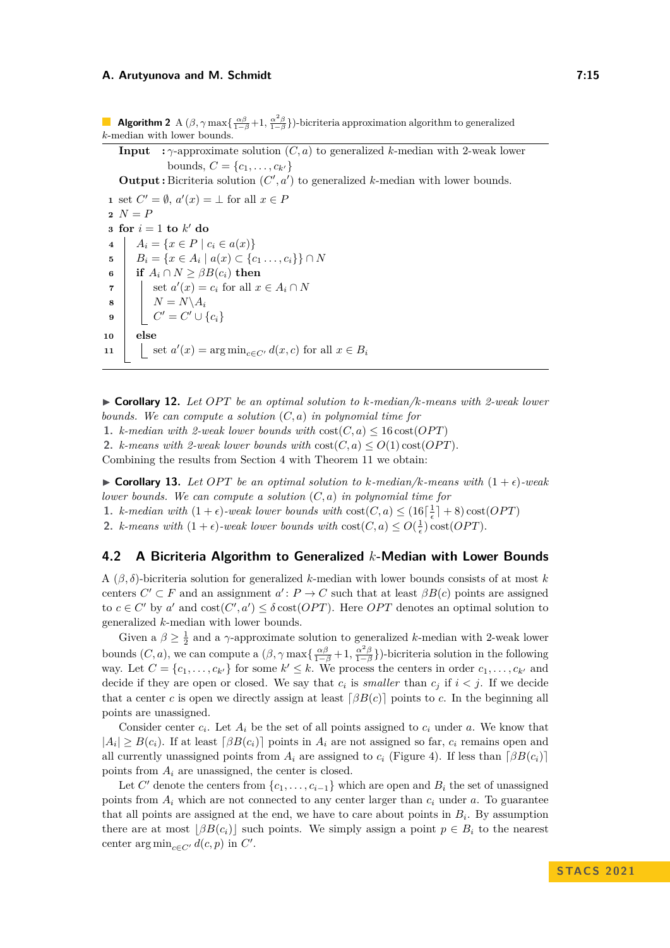#### **A. Arutyunova and M. Schmidt 7:15 A.** Arutyunova and M. Schmidt

**Algorithm 2** A  $(\beta, \gamma \max\{\frac{\alpha\beta}{1-\beta}+1, \frac{\alpha^2\beta}{1-\beta}\})$ -bicriteria approximation algorithm to generalized *k*-median with lower bounds.

**Input :** *γ*-approximate solution (*C, a*) to generalized *k*-median with 2-weak lower bounds,  $C = \{c_1, \ldots, c_{k'}\}$ 

**Output :** Bicriteria solution  $(C', a')$  to generalized *k*-median with lower bounds.

 set  $C' = \emptyset$ ,  $a'(x) = \bot$  for all  $x \in P$ **<sup>2</sup>** *N* = *P* for  $i = 1$  to  $k'$  do  $A_i = \{x \in P \mid c_i \in a(x)\}\$   $B_i = \{x \in A_i \mid a(x) \subset \{c_1, \ldots, c_i\}\} \cap N$  **if**  $A_i \cap N \geq \beta B(c_i)$  **then**   $\left| \quad \right|$  set  $a'(x) = c_i$  for all  $x \in A_i \cap N$   $N = N \setminus A_i$  $\begin{array}{|c|c|c|}\n\hline\n\textbf{9} & \textbf{\textit{C}}' & \textbf{\textit{C}}' \cup \{c_i\} \\
\hline\n\end{array}$ **10 else**  $\left| \quad \right|$  set  $a'(x) = \arg \min_{c \in C'} d(x, c)$  for all  $x \in B_i$ 

<span id="page-14-0"></span>▶ **Corollary 12.** Let OPT be an optimal solution to k-median/k-means with 2-weak lower *bounds. We can compute a solution* (*C, a*) *in polynomial time for*

**1.** *k*-median with 2-weak lower bounds with  $cost(C, a) \leq 16 cost(OPT)$ 

**2.** *k*-means with 2-weak lower bounds with  $cost(C, a) \leq O(1) \cos(OPT)$ .

Combining the results from Section [4](#page-6-1) with Theorem [11](#page-13-2) we obtain:

▶ **Corollary 13.** Let OPT be an optimal solution to k-median/k-means with  $(1 + \epsilon)$ -weak *lower bounds. We can compute a solution* (*C, a*) *in polynomial time for*

**1.** *k*-median with  $(1 + \epsilon)$ -weak lower bounds with  $\text{cost}(C, a) \leq (16\left[\frac{1}{\epsilon}\right] + 8)\text{cost}(OPT)$ 

**2.** *k*-means with  $(1+\epsilon)$ -weak lower bounds with  $\text{cost}(C, a) \leq O(\frac{1}{\epsilon}) \text{cost}(OPT)$ .

# **4.2 A Bicriteria Algorithm to Generalized** *k***-Median with Lower Bounds**

A (*β, δ*)-bicriteria solution for generalized *k*-median with lower bounds consists of at most *k* centers  $C' \subset F$  and an assignment  $a' : P \to C$  such that at least  $\beta B(c)$  points are assigned to  $c \in C'$  by  $a'$  and  $cost(C', a') \leq \delta cost(OPT)$ . Here  $OPT$  denotes an optimal solution to generalized *k*-median with lower bounds.

Given a  $\beta \geq \frac{1}{2}$  and a *γ*-approximate solution to generalized *k*-median with 2-weak lower 2 bounds  $(C, a)$ , we can compute a  $(\beta, \gamma \max\{\frac{\alpha\beta}{1-\beta} + 1, \frac{\alpha^2\beta}{1-\beta}\})$ -bicriteria solution in the following way. Let  $C = \{c_1, \ldots, c_{k'}\}$  for some  $k' \leq k$ . We process the centers in order  $c_1, \ldots, c_{k'}$  and decide if they are open or closed. We say that  $c_i$  is *smaller* than  $c_j$  if  $i < j$ . If we decide that a center *c* is open we directly assign at least  $\lceil \beta B(c) \rceil$  points to *c*. In the beginning all points are unassigned.

Consider center  $c_i$ . Let  $A_i$  be the set of all points assigned to  $c_i$  under  $a$ . We know that  $|A_i| \geq B(c_i)$ . If at least  $\lceil \beta B(c_i) \rceil$  points in  $A_i$  are not assigned so far,  $c_i$  remains open and all currently unassigned points from  $A_i$  are assigned to  $c_i$  (Figure [4\)](#page-15-8). If less than  $\lceil \beta B(c_i) \rceil$ points from *A<sup>i</sup>* are unassigned, the center is closed.

Let *C*<sup> $\prime$ </sup> denote the centers from  $\{c_1, \ldots, c_{i-1}\}$  which are open and  $B_i$  the set of unassigned points from  $A_i$  which are not connected to any center larger than  $c_i$  under  $a$ . To guarantee that all points are assigned at the end, we have to care about points in  $B_i$ . By assumption there are at most  $\left[\beta B(c_i)\right]$  such points. We simply assign a point  $p \in B_i$  to the nearest center  $\arg \min_{c \in C'} d(c, p)$  in  $C'$ .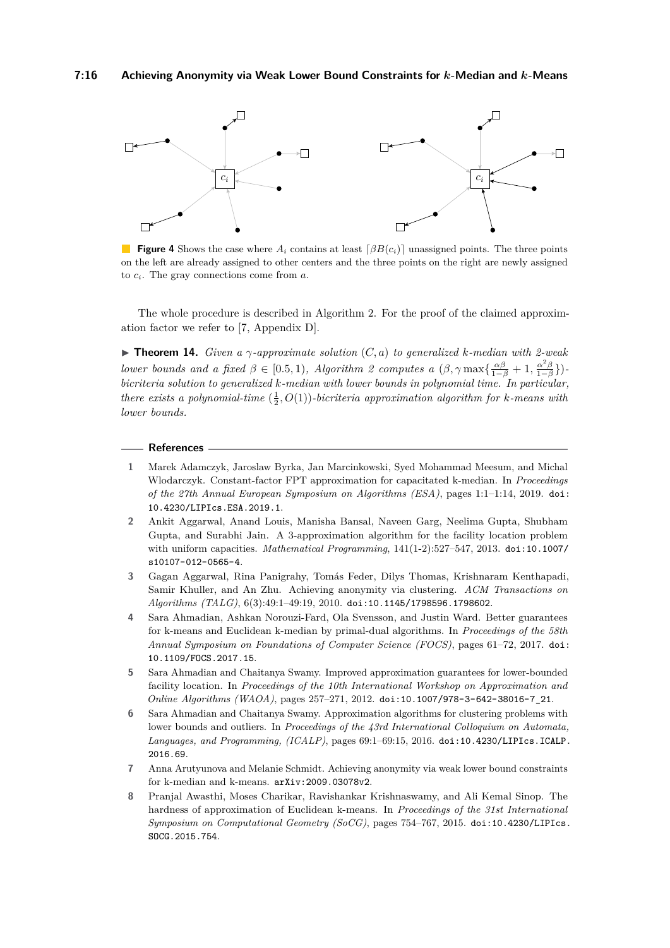<span id="page-15-8"></span>

**Figure 4** Shows the case where  $A_i$  contains at least  $\lceil \beta B(c_i) \rceil$  unassigned points. The three points on the left are already assigned to other centers and the three points on the right are newly assigned to *ci*. The gray connections come from *a*.

The whole procedure is described in Algorithm [2.](#page-14-0) For the proof of the claimed approximation factor we refer to [\[7,](#page-15-0) Appendix D].

 $\triangleright$  **Theorem 14.** *Given a*  $\gamma$ *-approximate solution*  $(C, a)$  *to generalized k-median with 2-weak lower bounds and a fixed*  $\beta \in [0.5, 1)$ *, Algorithm [2](#page-14-0) computes a*  $(\beta, \gamma \max\{\frac{\alpha\beta}{1-\beta} + 1, \frac{\alpha^2\beta}{1-\beta}\})$ *bicriteria solution to generalized k-median with lower bounds in polynomial time. In particular, there exists a polynomial-time*  $(\frac{1}{2}, O(1))$ *-bicriteria approximation algorithm for k-means with lower bounds.*

#### **References**

- <span id="page-15-5"></span>**1** Marek Adamczyk, Jaroslaw Byrka, Jan Marcinkowski, Syed Mohammad Meesum, and Michal Wlodarczyk. Constant-factor FPT approximation for capacitated k-median. In *Proceedings of the 27th Annual European Symposium on Algorithms (ESA)*, pages 1:1–1:14, 2019. [doi:](https://doi.org/10.4230/LIPIcs.ESA.2019.1) [10.4230/LIPIcs.ESA.2019.1](https://doi.org/10.4230/LIPIcs.ESA.2019.1).
- <span id="page-15-4"></span>**2** Ankit Aggarwal, Anand Louis, Manisha Bansal, Naveen Garg, Neelima Gupta, Shubham Gupta, and Surabhi Jain. A 3-approximation algorithm for the facility location problem with uniform capacities. *Mathematical Programming*, 141(1-2):527–547, 2013. [doi:10.1007/](https://doi.org/10.1007/s10107-012-0565-4) [s10107-012-0565-4](https://doi.org/10.1007/s10107-012-0565-4).
- <span id="page-15-1"></span>**3** Gagan Aggarwal, Rina Panigrahy, Tomás Feder, Dilys Thomas, Krishnaram Kenthapadi, Samir Khuller, and An Zhu. Achieving anonymity via clustering. *ACM Transactions on Algorithms (TALG)*, 6(3):49:1–49:19, 2010. [doi:10.1145/1798596.1798602](https://doi.org/10.1145/1798596.1798602).
- <span id="page-15-7"></span>**4** Sara Ahmadian, Ashkan Norouzi-Fard, Ola Svensson, and Justin Ward. Better guarantees for k-means and Euclidean k-median by primal-dual algorithms. In *Proceedings of the 58th Annual Symposium on Foundations of Computer Science (FOCS)*, pages 61–72, 2017. [doi:](https://doi.org/10.1109/FOCS.2017.15) [10.1109/FOCS.2017.15](https://doi.org/10.1109/FOCS.2017.15).
- <span id="page-15-2"></span>**5** Sara Ahmadian and Chaitanya Swamy. Improved approximation guarantees for lower-bounded facility location. In *Proceedings of the 10th International Workshop on Approximation and Online Algorithms (WAOA)*, pages 257–271, 2012. [doi:10.1007/978-3-642-38016-7\\_21](https://doi.org/10.1007/978-3-642-38016-7_21).
- <span id="page-15-3"></span>**6** Sara Ahmadian and Chaitanya Swamy. Approximation algorithms for clustering problems with lower bounds and outliers. In *Proceedings of the 43rd International Colloquium on Automata, Languages, and Programming, (ICALP)*, pages 69:1–69:15, 2016. [doi:10.4230/LIPIcs.ICALP.](https://doi.org/10.4230/LIPIcs.ICALP.2016.69) [2016.69](https://doi.org/10.4230/LIPIcs.ICALP.2016.69).
- <span id="page-15-0"></span>**7** Anna Arutyunova and Melanie Schmidt. Achieving anonymity via weak lower bound constraints for k-median and k-means. [arXiv:2009.03078v2](http://arxiv.org/abs/2009.03078v2).
- <span id="page-15-6"></span>**8** Pranjal Awasthi, Moses Charikar, Ravishankar Krishnaswamy, and Ali Kemal Sinop. The hardness of approximation of Euclidean k-means. In *Proceedings of the 31st International Symposium on Computational Geometry (SoCG)*, pages 754–767, 2015. [doi:10.4230/LIPIcs.](https://doi.org/10.4230/LIPIcs.SOCG.2015.754) [SOCG.2015.754](https://doi.org/10.4230/LIPIcs.SOCG.2015.754).